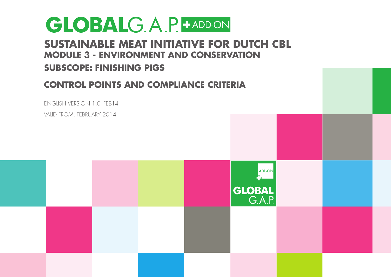#### **Sustainable Meat Initiative for Dutch CBL Module 3 - ENVIRONMENT and conservation**

#### **Subscope: Finishing Pigs**

#### **Control Points and Compliance Criteria**



Valid from: FEBruary 2014

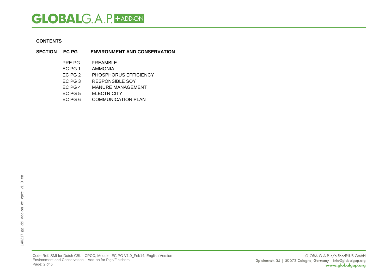#### **CONTENTS**

- **SECTION EC PG ENVIRONMENT AND CONSERVATION** PRE PG PREAMBLE<br>EC PG 1 AMMONIA **AMMONIA** EC PG 2 PHOSPHORUS EFFICIENCY<br>EC PG 3 RESPONSIBLE SOY EC PG 3 RESPONSIBLE SOY<br>EC PG 4 MANURE MANAGEM MANURE MANAGEMENT
	-
	- EC PG 5 ELECTRICITY<br>EC PG 6 COMMUNICAT COMMUNICATION PLAN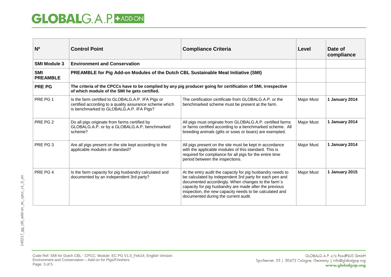| N <sup>o</sup>                | <b>Control Point</b>                                                                                                                                            | <b>Compliance Criteria</b>                                                                                                                                                                                                                                                                                                               | Level             | Date of<br>compliance |
|-------------------------------|-----------------------------------------------------------------------------------------------------------------------------------------------------------------|------------------------------------------------------------------------------------------------------------------------------------------------------------------------------------------------------------------------------------------------------------------------------------------------------------------------------------------|-------------------|-----------------------|
| <b>SMI Module 3</b>           | <b>Environment and Conservation</b>                                                                                                                             |                                                                                                                                                                                                                                                                                                                                          |                   |                       |
| <b>SMI</b><br><b>PREAMBLE</b> | PREAMBLE for Pig Add-on Modules of the Dutch CBL Sustainable Meat Initiative (SMI)                                                                              |                                                                                                                                                                                                                                                                                                                                          |                   |                       |
| <b>PRE PG</b>                 | The criteria of the CPCCs have to be complied by any pig producer going for certification of SMI, irrespective<br>of which module of the SMI he gets certified. |                                                                                                                                                                                                                                                                                                                                          |                   |                       |
| PRE PG 1                      | Is the farm certified to GLOBALG.A.P. IFA Pigs or<br>certified according to a quality assurance scheme which<br>is benchmarked to GLOBALG.A.P. IFA Pigs?        | The certification certificate from GLOBALG.A.P. or the<br>benchmarked scheme must be present at the farm.                                                                                                                                                                                                                                | Major Must        | 1 January 2014        |
| PRE PG 2                      | Do all pigs originate from farms certified by<br>GLOBALG.A.P. or by a GLOBALG.A.P. benchmarked<br>scheme?                                                       | All pigs must originate from GLOBALG.A.P. certified farms<br>or farms certified according to a benchmarked scheme. All<br>breeding animals (gilts or sows or boars) are exempted.                                                                                                                                                        | Major Must        | 1 January 2014        |
| PRE PG 3                      | Are all pigs present on the site kept according to the<br>applicable modules of standard?                                                                       | All pigs present on the site must be kept in accordance<br>with the applicable modules of this standard. This is<br>required for compliance for all pigs for the entire time<br>period between the inspections.                                                                                                                          | Major Must        | 1 January 2014        |
| PRE PG 4                      | Is the farm capacity for pig husbandry calculated and<br>documented by an independent 3rd party?                                                                | At the entry audit the capacity for pig husbandry needs to<br>be calculated by independent 3rd party for each pen and<br>documented accordingly. When changes to the farm's<br>capacity for pig husbandry are made after the previous<br>inspection, the new capacity needs to be calculated and<br>documented during the current audit. | <b>Major Must</b> | 1 January 2015        |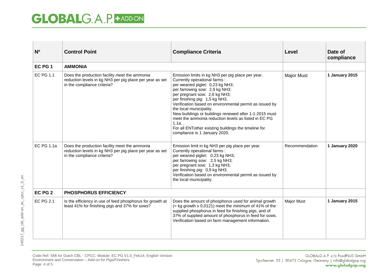| N <sup>o</sup>    | <b>Control Point</b>                                                                                                                     | <b>Compliance Criteria</b>                                                                                                                                                                                                                                                                                                                                                                                                                                                                                                              | <b>Level</b>      | Date of<br>compliance |
|-------------------|------------------------------------------------------------------------------------------------------------------------------------------|-----------------------------------------------------------------------------------------------------------------------------------------------------------------------------------------------------------------------------------------------------------------------------------------------------------------------------------------------------------------------------------------------------------------------------------------------------------------------------------------------------------------------------------------|-------------------|-----------------------|
| EC PG 1           | <b>AMMONIA</b>                                                                                                                           |                                                                                                                                                                                                                                                                                                                                                                                                                                                                                                                                         |                   |                       |
| EC PG 1.1         | Does the production facility meet the ammonia<br>reduction levels in kg NH3 per pig place per year as set<br>in the compliance criteria? | Emission limits in kg NH3 per pig place per year.<br>Currently operational farms:<br>per weaned piglet: 0,23 kg NH3;<br>per farrowing sow: 2,9 kg NH3;<br>per pregnant sow: 2,6 kg NH3;<br>per finishing pig: 1,5 kg NH3.<br>Verification based on environmental permit as issued by<br>the local municipality.<br>New buildings or buildings renewed after 1-1-2015 must<br>meet the ammonia reduction levels as listed in EC PG<br>$1.1a.$ .<br>For all ENTother existing buildings the timeline for<br>compliance is 1 January 2020. | <b>Major Must</b> | 1 January 2015        |
| <b>EC PG 1.1a</b> | Does the production facility meet the ammonia<br>reduction levels in kg NH3 per pig place per year as set<br>in the compliance criteria? | Emission limit in kg NH3 per pig place per year.<br>Currently operational farms:<br>per weaned piglet: 0,23 kg NH3;<br>per farrowing sow: 2,5 kg NH3;<br>per pregnant sow: 1,3 kg NH3;<br>per finishing pig: 0,9 kg NH3.<br>Verification based on environmental permit as issued by<br>the local municipality.                                                                                                                                                                                                                          | Recommendation    | 1 January 2020        |
| EC PG 2           | <b>PHOSPHORUS EFFICIENCY</b>                                                                                                             |                                                                                                                                                                                                                                                                                                                                                                                                                                                                                                                                         |                   |                       |
| <b>EC PG 2.1</b>  | Is the efficiency in use of feed phosphorus for growth at<br>least 41% for finishing pigs and 37% for sows?                              | Does the amount of phosphorus used for animal growth<br>$($ = kg growth x 0,0121) meet the minimum of 41% of the<br>supplied phosphorus in feed for finishing pigs, and of<br>37% of supplied amount of phosphorus in feed for sows.<br>Verification based on farm management information.                                                                                                                                                                                                                                              | <b>Major Must</b> | 1 January 2015        |